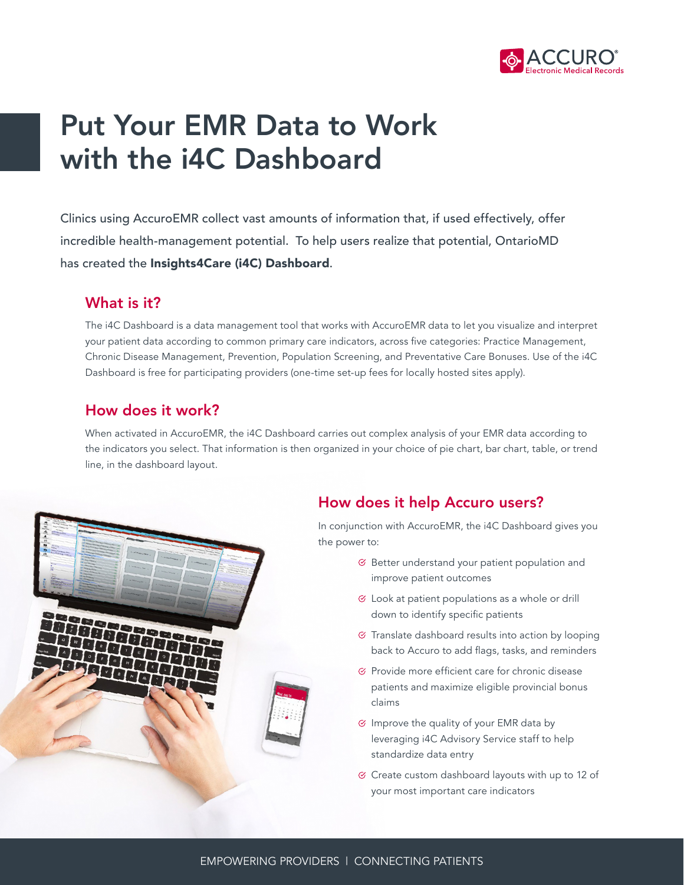

# Put Your EMR Data to Work with the i4C Dashboard

Clinics using AccuroEMR collect vast amounts of information that, if used effectively, offer incredible health-management potential. To help users realize that potential, OntarioMD has created the Insights4Care (i4C) Dashboard.

### What is it?

The i4C Dashboard is a data management tool that works with AccuroEMR data to let you visualize and interpret your patient data according to common primary care indicators, across five categories: Practice Management, Chronic Disease Management, Prevention, Population Screening, and Preventative Care Bonuses. Use of the i4C Dashboard is free for participating providers (one-time set-up fees for locally hosted sites apply).

### How does it work?

When activated in AccuroEMR, the i4C Dashboard carries out complex analysis of your EMR data according to the indicators you select. That information is then organized in your choice of pie chart, bar chart, table, or trend line, in the dashboard layout.



### How does it help Accuro users?

In conjunction with AccuroEMR, the i4C Dashboard gives you the power to:

- $\mathcal G$  Better understand your patient population and improve patient outcomes
- $\mathcal G$  Look at patient populations as a whole or drill down to identify specific patients
- $\mathfrak{S}$  Translate dashboard results into action by looping back to Accuro to add flags, tasks, and reminders
- $\mathcal C$  Provide more efficient care for chronic disease patients and maximize eligible provincial bonus claims
- $\heartsuit$  Improve the quality of your EMR data by leveraging i4C Advisory Service staff to help standardize data entry
- $\heartsuit$  Create custom dashboard layouts with up to 12 of your most important care indicators